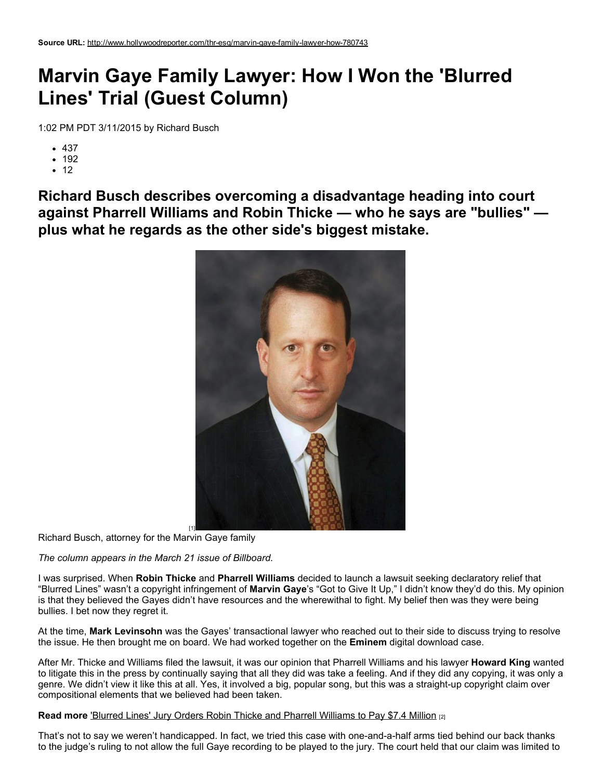## Marvin Gaye Family Lawyer: How I Won the 'Blurred Lines' Trial (Guest Column)

1:02 PM PDT 3/11/2015 by Richard Busch

- $-437$
- $192$
- $.12$

Richard Busch describes overcoming a disadvantage heading into court against Pharrell Williams and Robin Thicke — who he says are "bullies" plus what he regards as the other side's biggest mistake.



Richard Busch, attorney for the Marvin Gaye family

*The column appears in the March 21 issue of Billboard.*

I was surprised. When Robin Thicke and Pharrell Williams decided to launch a lawsuit seeking declaratory relief that "Blurred Lines" wasn't a copyright infringement of Marvin Gaye's "Got to Give It Up," I didn't know they'd do this. My opinion is that they believed the Gayes didn't have resources and the wherewithal to fight. My belief then was they were being bullies. I bet now they regret it.

At the time, Mark Levinsohn was the Gayes' transactional lawyer who reached out to their side to discuss trying to resolve the issue. He then brought me on board. We had worked together on the **Eminem** digital download case.

After Mr. Thicke and Williams filed the lawsuit, it was our opinion that Pharrell Williams and his lawyer **Howard King** wanted to litigate this in the press by continually saying that all they did was take a feeling. And if they did any copying, it was only a genre. We didn't view it like this at all. Yes, it involved a big, popular song, but this was a straight-up copyright claim over compositional elements that we believed had been taken.

## Read more 'Blurred Lines' Jury Orders Robin Thicke and Pharrell [Williams](http://www.hollywoodreporter.com/thr-esq/blurred-lines-jury-orders-robin-779445) to Pay \$7.4 Million [2]

That's not to say we weren't handicapped. In fact, we tried this case with one-and-a-half arms tied behind our back thanks to the judge's ruling to not allow the full Gaye recording to be played to the jury. The court held that our claim was limited to